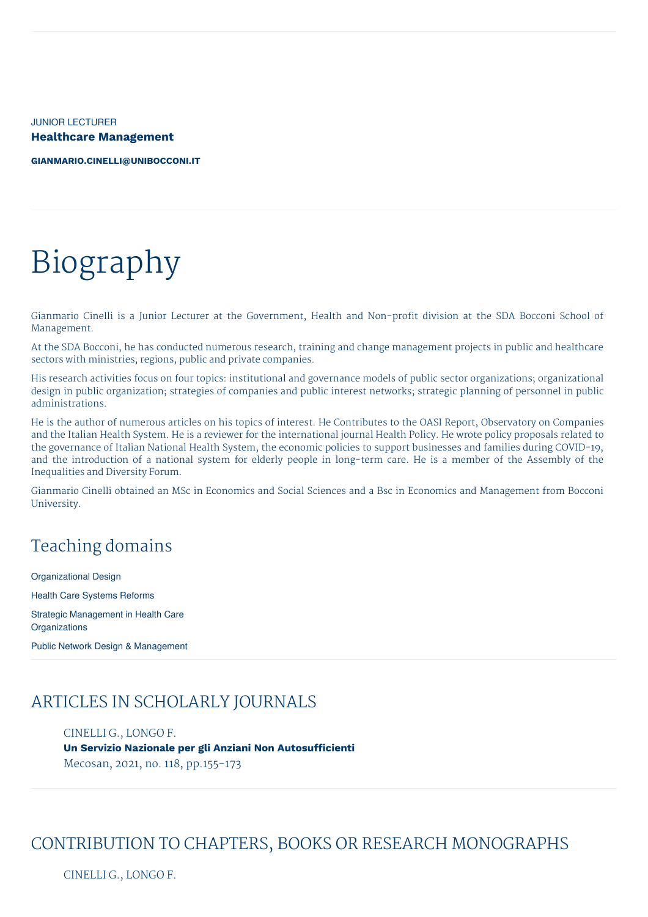JUNIOR LECTURER **Healthcare Management**

**[GIANMARIO.CINELLI@UNIBOCCONI.IT](mailto:gianmario.cinelli@unibocconi.it)**

# Biography

Gianmario Cinelli is a Junior Lecturer at the Government, Health and Non-profit division at the SDA Bocconi School of Management.

At the SDA Bocconi, he has conducted numerous research, training and change management projects in public and healthcare sectors with ministries, regions, public and private companies.

His research activities focus on four topics: institutional and governance models of public sector organizations; organizational design in public organization; strategies of companies and public interest networks; strategic planning of personnel in public administrations.

He is the author of numerous articles on his topics of interest. He Contributes to the OASI Report, Observatory on Companies and the Italian Health System. He is a reviewer for the international journal Health Policy. He wrote policy proposals related to the governance of Italian National Health System, the economic policies to support businesses and families during COVID-19, and the introduction of a national system for elderly people in long-term care. He is a member of the Assembly of the Inequalities and Diversity Forum.

Gianmario Cinelli obtained an MSc in Economics and Social Sciences and a Bsc in Economics and Management from Bocconi University.

# Teaching domains

Organizational Design Health Care Systems Reforms Strategic Management in Health Care **Organizations** 

Public Network Design & Management

#### ARTICLES IN SCHOLARLY JOURNALS

#### CINELLI G., LONGO F.

**Un Servizio Nazionale per gli Anziani Non Autosufficienti** Mecosan, 2021, no. 118, pp.155-173

#### CONTRIBUTION TO CHAPTERS, BOOKS OR RESEARCH MONOGRAPHS

CINELLI G., LONGO F.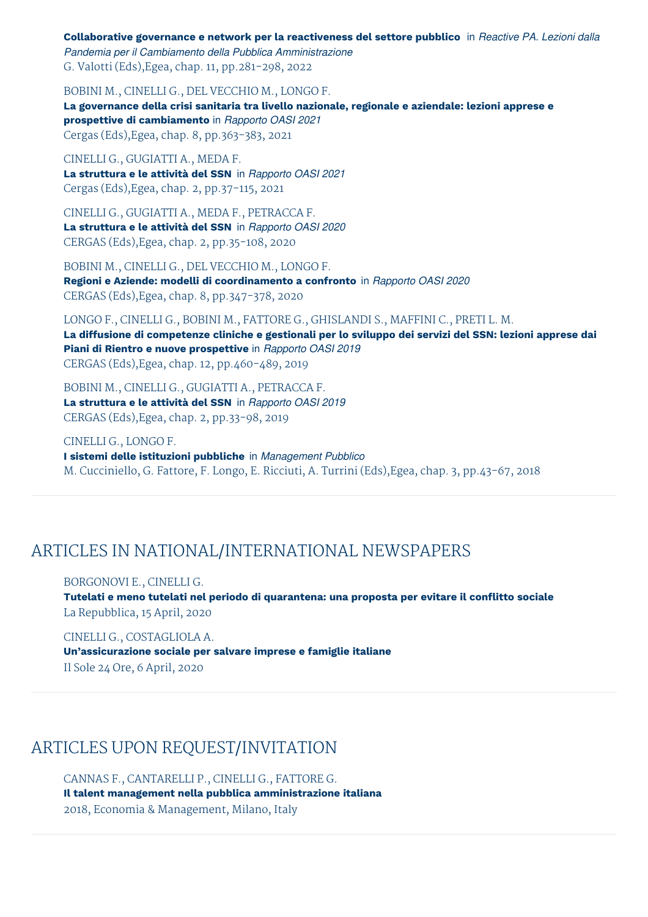**Collaborative governance e network per la reactiveness del settore pubblico** in *Reactive PA. Lezioni dalla Pandemia per il Cambiamento della Pubblica Amministrazione* G. Valotti (Eds),Egea, chap. 11, pp.281-298, 2022

BOBINI M., CINELLI G., DEL VECCHIO M., LONGO F. **La governance della crisi sanitaria tra livello nazionale, regionale e aziendale: lezioni apprese e prospettive di cambiamento** in *Rapporto OASI 2021* Cergas (Eds),Egea, chap. 8, pp.363-383, 2021

CINELLI G., GUGIATTI A., MEDA F. **La struttura e le attività del SSN** in *Rapporto OASI 2021* Cergas (Eds),Egea, chap. 2, pp.37-115, 2021

CINELLI G., GUGIATTI A., MEDA F., PETRACCA F. **La struttura e le attività del SSN** in *Rapporto OASI 2020* CERGAS (Eds),Egea, chap. 2, pp.35-108, 2020

BOBINI M., CINELLI G., DEL VECCHIO M., LONGO F. **Regioni e Aziende: modelli di coordinamento a confronto** in *Rapporto OASI 2020* CERGAS (Eds),Egea, chap. 8, pp.347-378, 2020

LONGO F., CINELLI G., BOBINI M., FATTORE G., GHISLANDI S., MAFFINI C., PRETI L. M. La diffusione di competenze cliniche e gestionali per lo sviluppo dei servizi del SSN: lezioni apprese dai **Piani di Rientro e nuove prospettive** in *Rapporto OASI 2019* CERGAS (Eds),Egea, chap. 12, pp.460-489, 2019

BOBINI M., CINELLI G., GUGIATTI A., PETRACCA F. **La struttura e le attività del SSN** in *Rapporto OASI 2019* CERGAS (Eds),Egea, chap. 2, pp.33-98, 2019

CINELLI G., LONGO F. **I sistemi delle istituzioni pubbliche** in *Management Pubblico* M. Cucciniello, G. Fattore, F. Longo, E. Ricciuti, A. Turrini (Eds),Egea, chap. 3, pp.43-67, 2018

#### ARTICLES IN NATIONAL/INTERNATIONAL NEWSPAPERS

BORGONOVI E., CINELLI G.

**Tutelati e meno tutelati nel periodo di quarantena: una proposta per evitare il conflitto sociale** La Repubblica, 15 April, 2020

CINELLI G., COSTAGLIOLA A. **Un'assicurazione sociale per salvare imprese e famiglie italiane** Il Sole 24 Ore, 6 April, 2020

# ARTICLES UPON REQUEST/INVITATION

CANNAS F., CANTARELLI P., CINELLI G., FATTORE G. **Il talent management nella pubblica amministrazione italiana** 2018, Economia & Management, Milano, Italy